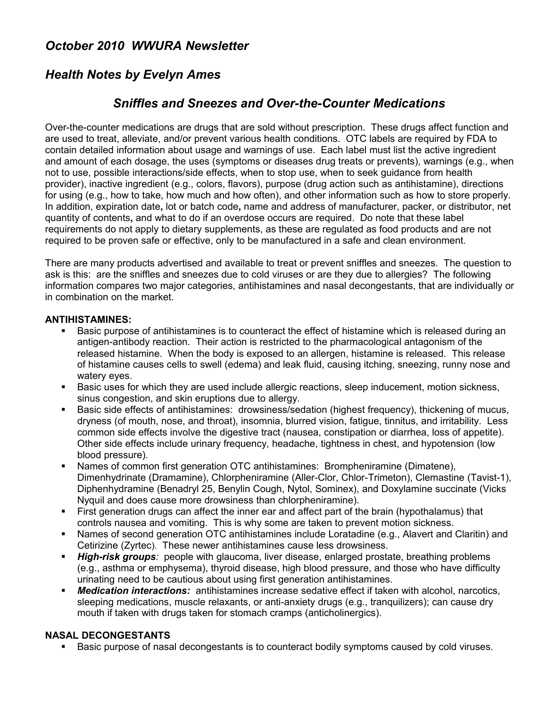## *October 2010 WWURA Newsletter*

# *Health Notes by Evelyn Ames*

### *Sniffles and Sneezes and Over-the-Counter Medications*

Over-the-counter medications are drugs that are sold without prescription. These drugs affect function and are used to treat, alleviate, and/or prevent various health conditions. OTC labels are required by FDA to contain detailed information about usage and warnings of use. Each label must list the active ingredient and amount of each dosage, the uses (symptoms or diseases drug treats or prevents), warnings (e.g., when not to use, possible interactions/side effects, when to stop use, when to seek guidance from health provider), inactive ingredient (e.g., colors, flavors), purpose (drug action such as antihistamine), directions for using (e.g., how to take, how much and how often), and other information such as how to store properly. In addition, expiration date**,** lot or batch code**,** name and address of manufacturer, packer, or distributor, net quantity of contents**,** and what to do if an overdose occurs are required. Do note that these label requirements do not apply to dietary supplements, as these are regulated as food products and are not required to be proven safe or effective, only to be manufactured in a safe and clean environment.

There are many products advertised and available to treat or prevent sniffles and sneezes. The question to ask is this: are the sniffles and sneezes due to cold viruses or are they due to allergies? The following information compares two major categories, antihistamines and nasal decongestants, that are individually or in combination on the market.

### **ANTIHISTAMINES:**

- Basic purpose of antihistamines is to counteract the effect of histamine which is released during an antigen-antibody reaction. Their action is restricted to the pharmacological antagonism of the released histamine. When the body is exposed to an allergen, histamine is released. This release of histamine causes cells to swell (edema) and leak fluid, causing itching, sneezing, runny nose and watery eyes.
- Basic uses for which they are used include allergic reactions, sleep inducement, motion sickness, sinus congestion, and skin eruptions due to allergy.
- Basic side effects of antihistamines: drowsiness/sedation (highest frequency), thickening of mucus, dryness (of mouth, nose, and throat), insomnia, blurred vision, fatigue, tinnitus, and irritability. Less common side effects involve the digestive tract (nausea, constipation or diarrhea, loss of appetite). Other side effects include urinary frequency, headache, tightness in chest, and hypotension (low blood pressure).
- Names of common first generation OTC antihistamines: Brompheniramine (Dimatene), Dimenhydrinate (Dramamine), Chlorpheniramine (Aller-Clor, Chlor-Trimeton), Clemastine (Tavist-1), Diphenhydramine (Benadryl 25, Benylin Cough, Nytol, Sominex), and Doxylamine succinate (Vicks Nyquil and does cause more drowsiness than chlorpheniramine).
- First generation drugs can affect the inner ear and affect part of the brain (hypothalamus) that controls nausea and vomiting. This is why some are taken to prevent motion sickness.
- Names of second generation OTC antihistamines include Loratadine (e.g., Alavert and Claritin) and Cetirizine (Zyrtec). These newer antihistamines cause less drowsiness.
- *High-risk groups:* people with glaucoma, liver disease, enlarged prostate, breathing problems (e.g., asthma or emphysema), thyroid disease, high blood pressure, and those who have difficulty urinating need to be cautious about using first generation antihistamines.
- **Medication interactions:** antihistamines increase sedative effect if taken with alcohol, narcotics, sleeping medications, muscle relaxants, or anti-anxiety drugs (e.g., tranquilizers); can cause dry mouth if taken with drugs taken for stomach cramps (anticholinergics).

### **NASAL DECONGESTANTS**

Basic purpose of nasal decongestants is to counteract bodily symptoms caused by cold viruses.